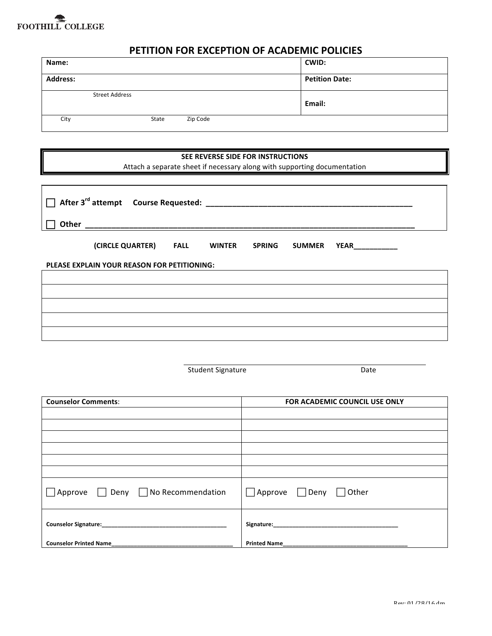# FOOTHILL COLLEGE

## **PETITION FOR EXCEPTION OF ACADEMIC POLICIES**

| Name:    |                       |          | CWID:                 |
|----------|-----------------------|----------|-----------------------|
| Address: |                       |          | <b>Petition Date:</b> |
|          | <b>Street Address</b> |          | Email:                |
| City     | State                 | Zip Code |                       |

#### **SEE REVERSE SIDE FOR INSTRUCTIONS**

Attach a separate sheet if necessary along with supporting documentation

| (CIRCLE QUARTER) FALL WINTER<br><b>SPRING</b><br><b>SUMMER</b><br><b>YEAR</b> ___________ |  |  |  |  |  |  |
|-------------------------------------------------------------------------------------------|--|--|--|--|--|--|
| PLEASE EXPLAIN YOUR REASON FOR PETITIONING:                                               |  |  |  |  |  |  |
|                                                                                           |  |  |  |  |  |  |
|                                                                                           |  |  |  |  |  |  |
|                                                                                           |  |  |  |  |  |  |
|                                                                                           |  |  |  |  |  |  |
|                                                                                           |  |  |  |  |  |  |

|                                | <b>Student Signature</b> | Date                                    |  |
|--------------------------------|--------------------------|-----------------------------------------|--|
| <b>Counselor Comments:</b>     |                          | <b>FOR ACADEMIC COUNCIL USE ONLY</b>    |  |
|                                |                          |                                         |  |
|                                |                          |                                         |  |
|                                |                          |                                         |  |
|                                |                          |                                         |  |
| Approve Deny No Recommendation |                          | $\Box$ Approve $\Box$ Deny $\Box$ Other |  |
|                                |                          | Signature: Management of the Signature: |  |
| <b>Counselor Printed Name</b>  | <b>Printed Name</b>      |                                         |  |